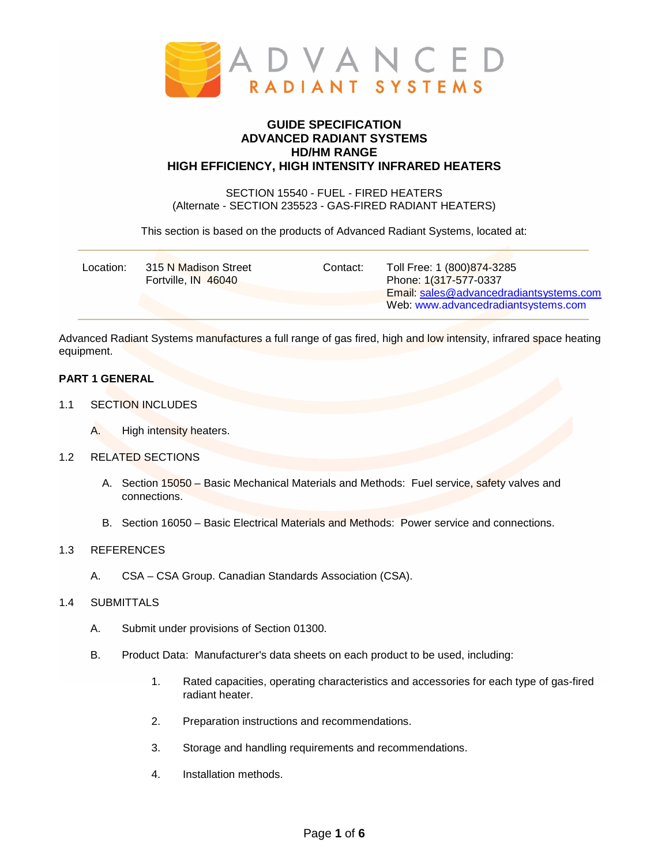

# **GUIDE SPECIFICATION ADVANCED RADIANT SYSTEMS HD/HM RANGE HIGH EFFICIENCY, HIGH INTENSITY INFRARED HEATERS**

SECTION 15540 - FUEL - FIRED HEATERS (Alternate - SECTION 235523 - GAS-FIRED RADIANT HEATERS)

This section is based on the products of Advanced Radiant Systems, located at:

| 315 N Madison Street | Toll Free: 1 (800) 874-3285             |
|----------------------|-----------------------------------------|
| Contact:             | Phone: 1(317-577-0337                   |
| Location:            | Email: sales@advancedradiantsystems.com |
| Fortville, IN 46040  | Web: www.advancedradiantsystems.com     |

Advanced Radiant Systems manufactures a full range of gas fired, high and low intensity, infrared space heating equipment.

# **PART 1 GENERAL**

- 1.1 SECTION INCLUDES
	- A. High intensity heaters.
- 1.2 RELATED SECTIONS
	- A. Section 15050 Basic Mechanical Materials and Methods: Fuel service, safety valves and connections.
	- B. Section 16050 Basic Electrical Materials and Methods: Power service and connections.

### 1.3 REFERENCES

A. CSA – CSA Group. Canadian Standards Association (CSA).

## 1.4 SUBMITTALS

- A. Submit under provisions of Section 01300.
- B. Product Data: Manufacturer's data sheets on each product to be used, including:
	- 1. Rated capacities, operating characteristics and accessories for each type of gas-fired radiant heater.
	- 2. Preparation instructions and recommendations.
	- 3. Storage and handling requirements and recommendations.
	- 4. Installation methods.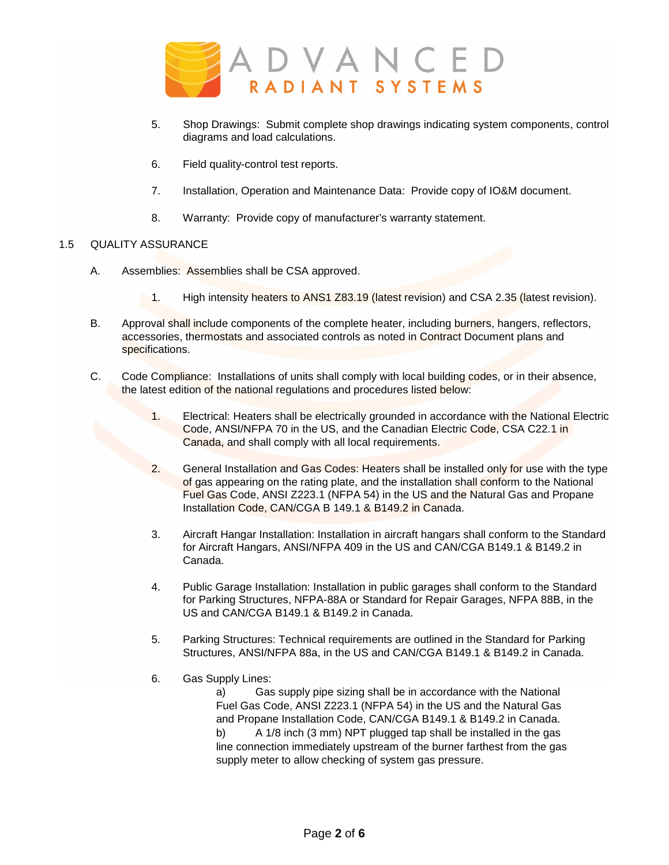

- 5. Shop Drawings: Submit complete shop drawings indicating system components, control diagrams and load calculations.
- 6. Field quality-control test reports.
- 7. Installation, Operation and Maintenance Data: Provide copy of IO&M document.
- 8. Warranty: Provide copy of manufacturer's warranty statement.

## 1.5 QUALITY ASSURANCE

- A. Assemblies: Assemblies shall be CSA approved.
	- 1. High intensity heaters to ANS1 Z83.19 (latest revision) and CSA 2.35 (latest revision).
- B. Approval shall include components of the complete heater, including burners, hangers, reflectors, accessories, thermostats and associated controls as noted in Contract Document plans and specifications.
- C. Code Compliance: Installations of units shall comply with local building codes, or in their absence, the latest edition of the national regulations and procedures listed below:
	- 1. Electrical: Heaters shall be electrically grounded in accordance with the National Electric Code, ANSI/NFPA 70 in the US, and the Canadian Electric Code, CSA C22.1 in Canada, and shall comply with all local requirements.
	- 2. General Installation and Gas Codes: Heaters shall be installed only for use with the type of gas appearing on the rating plate, and the installation shall conform to the National Fuel Gas Code, ANSI Z223.1 (NFPA 54) in the US and the Natural Gas and Propane Installation Code, CAN/CGA B 149.1 & B149.2 in Canada.
	- 3. Aircraft Hangar Installation: Installation in aircraft hangars shall conform to the Standard for Aircraft Hangars, ANSI/NFPA 409 in the US and CAN/CGA B149.1 & B149.2 in Canada.
	- 4. Public Garage Installation: Installation in public garages shall conform to the Standard for Parking Structures, NFPA-88A or Standard for Repair Garages, NFPA 88B, in the US and CAN/CGA B149.1 & B149.2 in Canada.
	- 5. Parking Structures: Technical requirements are outlined in the Standard for Parking Structures, ANSI/NFPA 88a, in the US and CAN/CGA B149.1 & B149.2 in Canada.
	- 6. Gas Supply Lines:

a) Gas supply pipe sizing shall be in accordance with the National Fuel Gas Code, ANSI Z223.1 (NFPA 54) in the US and the Natural Gas and Propane Installation Code, CAN/CGA B149.1 & B149.2 in Canada. b) A 1/8 inch (3 mm) NPT plugged tap shall be installed in the gas line connection immediately upstream of the burner farthest from the gas supply meter to allow checking of system gas pressure.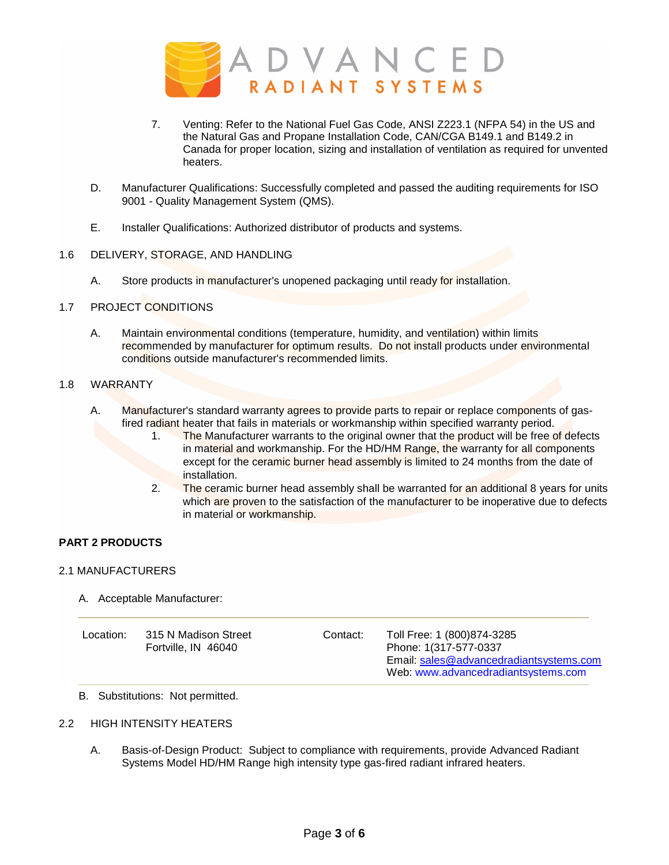

- 7. Venting: Refer to the National Fuel Gas Code, ANSI Z223.1 (NFPA 54) in the US and the Natural Gas and Propane Installation Code, CAN/CGA B149.1 and B149.2 in Canada for proper location, sizing and installation of ventilation as required for unvented heaters.
- D. Manufacturer Qualifications: Successfully completed and passed the auditing requirements for ISO 9001 - Quality Management System (QMS).
- E. Installer Qualifications: Authorized distributor of products and systems.

## 1.6 DELIVERY, STORAGE, AND HANDLING

A. Store products in manufacturer's unopened packaging until ready for installation.

## 1.7 PROJECT CONDITIONS

A. Maintain environmental conditions (temperature, humidity, and ventilation) within limits recommended by manufacturer for optimum results. Do not install products under environmental conditions outside manufacturer's recommended limits.

# 1.8 WARRANTY

- A. Manufacturer's standard warranty agrees to provide parts to repair or replace components of gasfired radiant heater that fails in materials or workmanship within specified warranty period.
	- 1. The Manufacturer warrants to the original owner that the product will be free of defects in material and workmanship. For the HD/HM Range, the warranty for all components except for the ceramic burner head assembly is limited to 24 months from the date of installation.
	- 2. The ceramic burner head assembly shall be warranted for an additional 8 years for units which are proven to the satisfaction of the manufacturer to be inoperative due to defects in material or workmanship.

## **PART 2 PRODUCTS**

### 2.1 MANUFACTURERS

A. Acceptable Manufacturer:

| Location: | 315 N Madison Street<br>Fortville, IN 46040 | Contact: | Toll Free: 1 (800) 874-3285<br>Phone: 1(317-577-0337<br>Email: sales@advancedradiantsystems.com<br>Web: www.advancedradiantsystems.com |
|-----------|---------------------------------------------|----------|----------------------------------------------------------------------------------------------------------------------------------------|
|-----------|---------------------------------------------|----------|----------------------------------------------------------------------------------------------------------------------------------------|

B. Substitutions: Not permitted.

### 2.2 HIGH INTENSITY HEATERS

A. Basis-of-Design Product: Subject to compliance with requirements, provide Advanced Radiant Systems Model HD/HM Range high intensity type gas-fired radiant infrared heaters.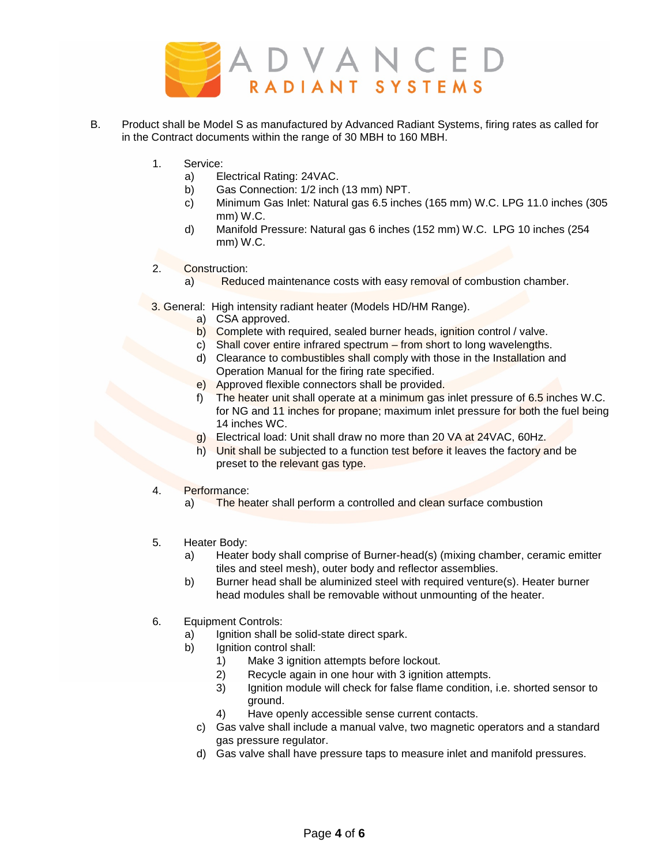

- B. Product shall be Model S as manufactured by Advanced Radiant Systems, firing rates as called for in the Contract documents within the range of 30 MBH to 160 MBH.
	- 1. Service:
		- a) Electrical Rating: 24VAC.
		- b) Gas Connection: 1/2 inch (13 mm) NPT.
		- c) Minimum Gas Inlet: Natural gas 6.5 inches (165 mm) W.C. LPG 11.0 inches (305 mm) W.C.
		- d) Manifold Pressure: Natural gas 6 inches (152 mm) W.C. LPG 10 inches (254 mm) W.C.
	- 2. Construction:
		- a) Reduced maintenance costs with easy removal of combustion chamber.
	- 3. General: High intensity radiant heater (Models HD/HM Range).
		- a) CSA approved.
		- b) Complete with required, sealed burner heads, ignition control / valve.
		- c) Shall cover entire infrared spectrum from short to long wavelengths.
		- d) Clearance to combustibles shall comply with those in the Installation and Operation Manual for the firing rate specified.
		- e) Approved flexible connectors shall be provided.
		- f) The heater unit shall operate at a minimum gas inlet pressure of 6.5 inches W.C. for NG and 11 inches for propane; maximum inlet pressure for both the fuel being 14 inches WC.
		- g) Electrical load: Unit shall draw no more than 20 VA at 24VAC, 60Hz.
		- h) Unit shall be subjected to a function test before it leaves the factory and be preset to the relevant gas type.
	- 4. Performance:
		- a) The heater shall perform a controlled and clean surface combustion
	- 5. Heater Body:
		- a) Heater body shall comprise of Burner-head(s) (mixing chamber, ceramic emitter tiles and steel mesh), outer body and reflector assemblies.
		- b) Burner head shall be aluminized steel with required venture(s). Heater burner head modules shall be removable without unmounting of the heater.
	- 6. Equipment Controls:
		- a) Ignition shall be solid-state direct spark.
		- b) Ignition control shall:
			- 1) Make 3 ignition attempts before lockout.
			- 2) Recycle again in one hour with 3 ignition attempts.
			- 3) Ignition module will check for false flame condition, i.e. shorted sensor to ground.
			- 4) Have openly accessible sense current contacts.
			- c) Gas valve shall include a manual valve, two magnetic operators and a standard gas pressure regulator.
			- d) Gas valve shall have pressure taps to measure inlet and manifold pressures.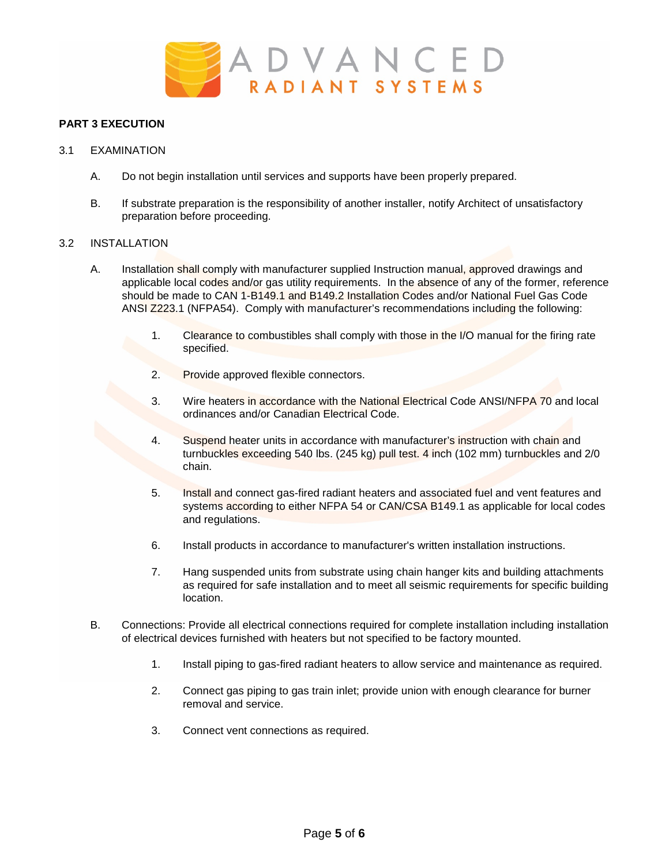

## **PART 3 EXECUTION**

- 3.1 EXAMINATION
	- A. Do not begin installation until services and supports have been properly prepared.
	- B. If substrate preparation is the responsibility of another installer, notify Architect of unsatisfactory preparation before proceeding.

### 3.2 INSTALLATION

- A. Installation shall comply with manufacturer supplied Instruction manual, approved drawings and applicable local codes and/or gas utility requirements. In the absence of any of the former, reference should be made to CAN 1-B149.1 and B149.2 Installation Codes and/or National Fuel Gas Code ANSI Z223.1 (NFPA54). Comply with manufacturer's recommendations including the following:
	- 1. Clearance to combustibles shall comply with those in the I/O manual for the firing rate specified.
	- 2. Provide approved flexible connectors.
	- 3. Wire heaters in accordance with the National Electrical Code ANSI/NFPA 70 and local ordinances and/or Canadian Electrical Code.
	- 4. Suspend heater units in accordance with manufacturer's instruction with chain and turnbuckles exceeding 540 lbs. (245 kg) pull test. 4 inch (102 mm) turnbuckles and 2/0 chain.
	- 5. Install and connect gas-fired radiant heaters and associated fuel and vent features and systems according to either NFPA 54 or CAN/CSA B149.1 as applicable for local codes and regulations.
	- 6. Install products in accordance to manufacturer's written installation instructions.
	- 7. Hang suspended units from substrate using chain hanger kits and building attachments as required for safe installation and to meet all seismic requirements for specific building location.
- B. Connections: Provide all electrical connections required for complete installation including installation of electrical devices furnished with heaters but not specified to be factory mounted.
	- 1. Install piping to gas-fired radiant heaters to allow service and maintenance as required.
	- 2. Connect gas piping to gas train inlet; provide union with enough clearance for burner removal and service.
	- 3. Connect vent connections as required.